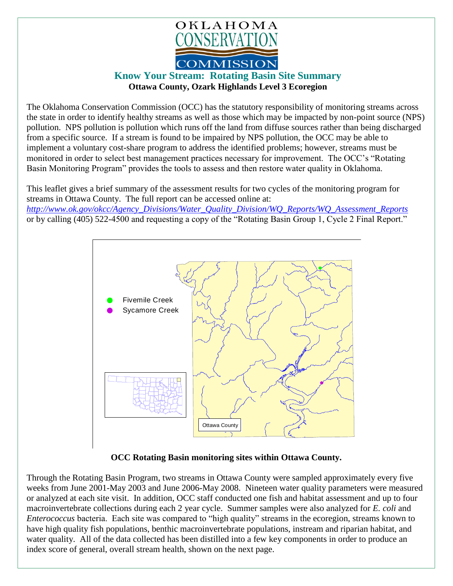

## **Know Your Stream: Rotating Basin Site Summary Ottawa County, Ozark Highlands Level 3 Ecoregion**

The Oklahoma Conservation Commission (OCC) has the statutory responsibility of monitoring streams across the state in order to identify healthy streams as well as those which may be impacted by non-point source (NPS) pollution. NPS pollution is pollution which runs off the land from diffuse sources rather than being discharged from a specific source. If a stream is found to be impaired by NPS pollution, the OCC may be able to implement a voluntary cost-share program to address the identified problems; however, streams must be monitored in order to select best management practices necessary for improvement. The OCC's "Rotating Basin Monitoring Program" provides the tools to assess and then restore water quality in Oklahoma.

This leaflet gives a brief summary of the assessment results for two cycles of the monitoring program for streams in Ottawa County. The full report can be accessed online at: *[http://www.ok.gov/okcc/Agency\\_Divisions/Water\\_Quality\\_Division/WQ\\_Reports/WQ\\_Assessment\\_Reports](http://www.ok.gov/okcc/Agency_Divisions/Water_Quality_Division/WQ_Reports/WQ_Assessment_Reports)* or by calling (405) 522-4500 and requesting a copy of the "Rotating Basin Group 1, Cycle 2 Final Report."



## **OCC Rotating Basin monitoring sites within Ottawa County.**

Through the Rotating Basin Program, two streams in Ottawa County were sampled approximately every five weeks from June 2001-May 2003 and June 2006-May 2008. Nineteen water quality parameters were measured or analyzed at each site visit. In addition, OCC staff conducted one fish and habitat assessment and up to four macroinvertebrate collections during each 2 year cycle. Summer samples were also analyzed for *E. coli* and *Enterococcus* bacteria. Each site was compared to "high quality" streams in the ecoregion, streams known to have high quality fish populations, benthic macroinvertebrate populations, instream and riparian habitat, and water quality. All of the data collected has been distilled into a few key components in order to produce an index score of general, overall stream health, shown on the next page.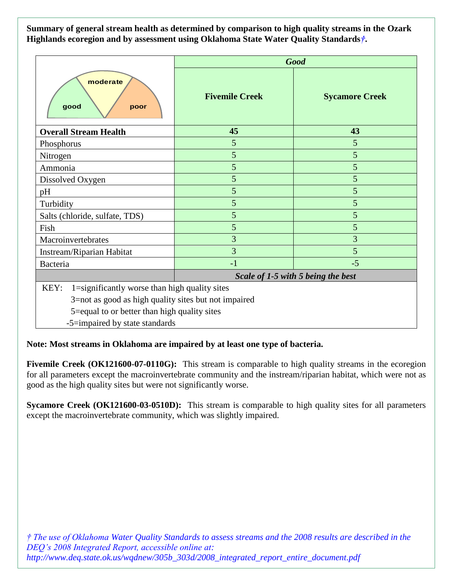**Summary of general stream health as determined by comparison to high quality streams in the Ozark Highlands ecoregion and by assessment using Oklahoma State Water Quality Standards***†***.**

|                                                       | <b>Good</b>                        |                       |
|-------------------------------------------------------|------------------------------------|-----------------------|
| moderate<br>good<br>poor                              | <b>Fivemile Creek</b>              | <b>Sycamore Creek</b> |
| <b>Overall Stream Health</b>                          | 45                                 | 43                    |
| Phosphorus                                            | 5                                  | 5                     |
| Nitrogen                                              | 5                                  | 5                     |
| Ammonia                                               | 5                                  | 5                     |
| Dissolved Oxygen                                      | 5                                  | 5                     |
| pH                                                    | 5                                  | 5                     |
| Turbidity                                             | 5                                  | 5                     |
| Salts (chloride, sulfate, TDS)                        | 5                                  | 5                     |
| Fish                                                  | 5                                  | 5                     |
| Macroinvertebrates                                    | 3                                  | 3                     |
| Instream/Riparian Habitat                             | 3                                  | 5                     |
| Bacteria                                              | $-1$                               | $-5$                  |
|                                                       | Scale of 1-5 with 5 being the best |                       |
| KEY:<br>1=significantly worse than high quality sites |                                    |                       |
| 3=not as good as high quality sites but not impaired  |                                    |                       |
| 5=equal to or better than high quality sites          |                                    |                       |

-5=impaired by state standards

## **Note: Most streams in Oklahoma are impaired by at least one type of bacteria.**

**Fivemile Creek (OK121600-07-0110G):** This stream is comparable to high quality streams in the ecoregion for all parameters except the macroinvertebrate community and the instream/riparian habitat, which were not as good as the high quality sites but were not significantly worse.

**Sycamore Creek (OK121600-03-0510D):** This stream is comparable to high quality sites for all parameters except the macroinvertebrate community, which was slightly impaired.

*† The use of Oklahoma Water Quality Standards to assess streams and the 2008 results are described in the DEQ's 2008 Integrated Report, accessible online at: http://www.deq.state.ok.us/wqdnew/305b\_303d/2008\_integrated\_report\_entire\_document.pdf*